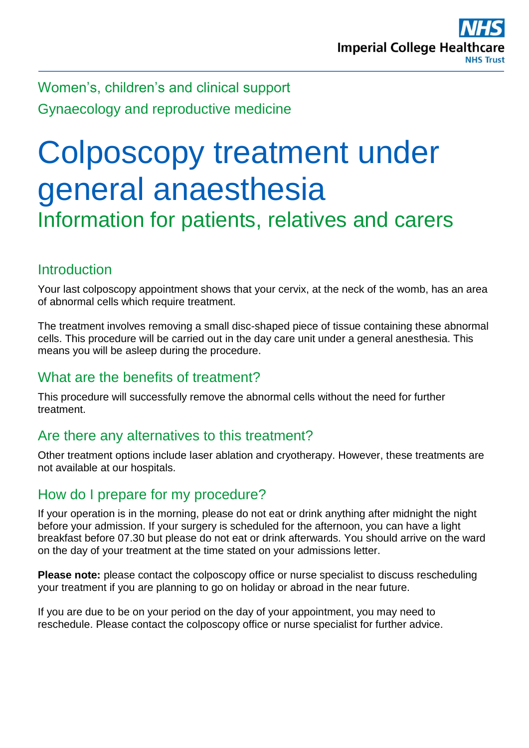Women's, children's and clinical support Gynaecology and reproductive medicine

# Colposcopy treatment under general anaesthesia Information for patients, relatives and carers

# Introduction

Your last colposcopy appointment shows that your cervix, at the neck of the womb, has an area of abnormal cells which require treatment.

The treatment involves removing a small disc-shaped piece of tissue containing these abnormal cells. This procedure will be carried out in the day care unit under a general anesthesia. This means you will be asleep during the procedure.

## What are the benefits of treatment?

This procedure will successfully remove the abnormal cells without the need for further treatment.

## Are there any alternatives to this treatment?

Other treatment options include laser ablation and cryotherapy. However, these treatments are not available at our hospitals.

## How do I prepare for my procedure?

If your operation is in the morning, please do not eat or drink anything after midnight the night before your admission. If your surgery is scheduled for the afternoon, you can have a light breakfast before 07.30 but please do not eat or drink afterwards. You should arrive on the ward on the day of your treatment at the time stated on your admissions letter.

**Please note:** please contact the colposcopy office or nurse specialist to discuss rescheduling your treatment if you are planning to go on holiday or abroad in the near future.

If you are due to be on your period on the day of your appointment, you may need to reschedule. Please contact the colposcopy office or nurse specialist for further advice.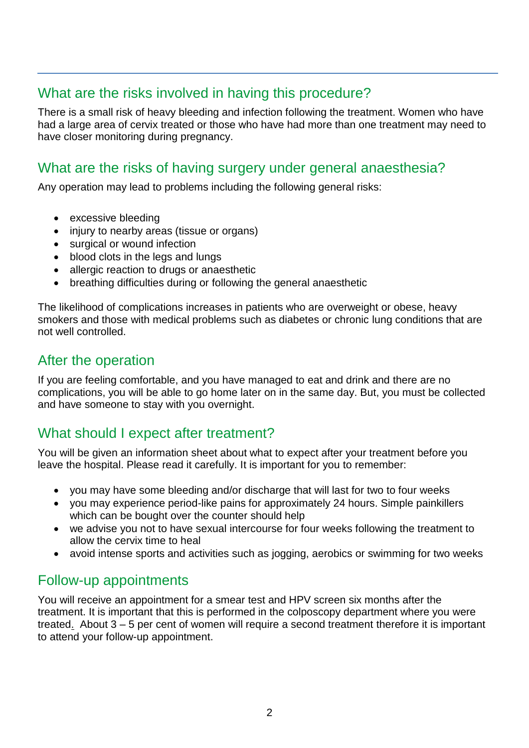## What are the risks involved in having this procedure?

There is a small risk of heavy bleeding and infection following the treatment. Women who have had a large area of cervix treated or those who have had more than one treatment may need to have closer monitoring during pregnancy.

# What are the risks of having surgery under general anaesthesia?

Any operation may lead to problems including the following general risks:

- excessive bleeding
- injury to nearby areas (tissue or organs)
- surgical or wound infection
- blood clots in the legs and lungs
- allergic reaction to drugs or anaesthetic
- breathing difficulties during or following the general anaesthetic

The likelihood of complications increases in patients who are overweight or obese, heavy smokers and those with medical problems such as diabetes or chronic lung conditions that are not well controlled.

#### After the operation

If you are feeling comfortable, and you have managed to eat and drink and there are no complications, you will be able to go home later on in the same day. But, you must be collected and have someone to stay with you overnight.

# What should I expect after treatment?

You will be given an information sheet about what to expect after your treatment before you leave the hospital. Please read it carefully. It is important for you to remember:

- you may have some bleeding and/or discharge that will last for two to four weeks
- you may experience period-like pains for approximately 24 hours. Simple painkillers which can be bought over the counter should help
- we advise you not to have sexual intercourse for four weeks following the treatment to allow the cervix time to heal
- avoid intense sports and activities such as jogging, aerobics or swimming for two weeks

#### Follow-up appointments

You will receive an appointment for a smear test and HPV screen six months after the treatment. It is important that this is performed in the colposcopy department where you were treated. About 3 – 5 per cent of women will require a second treatment therefore it is important to attend your follow-up appointment.